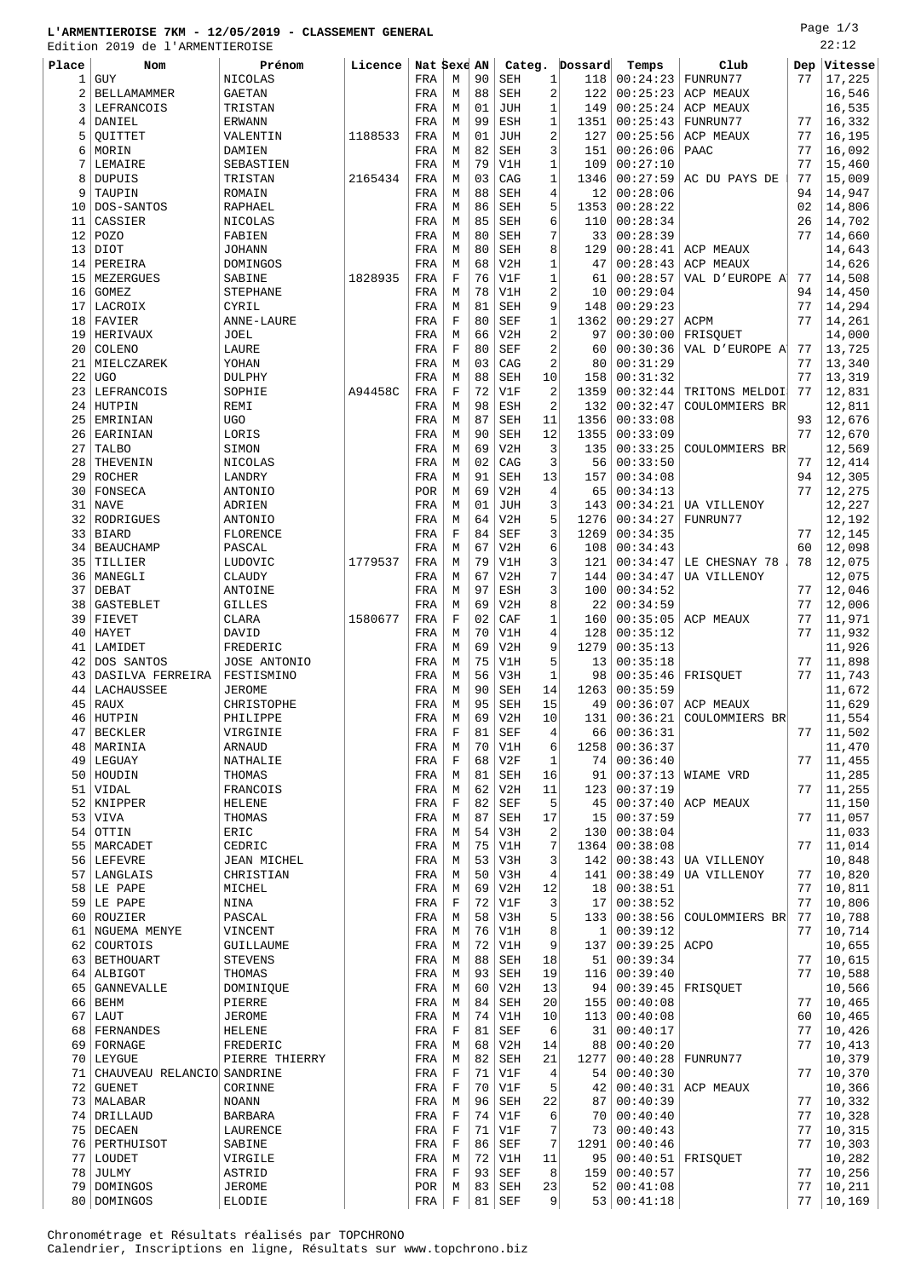## **L'ARMENTIEROISE 7KM - 12/05/2019 - CLASSEMENT GENERAL**

Page 1/3  $\overline{22}$ 

|          | Edition 2019 de l'ARMENTIEROISE  |                          |         |              |                  |          |                          |                              |                     |                      |                           |          | 22:12            |
|----------|----------------------------------|--------------------------|---------|--------------|------------------|----------|--------------------------|------------------------------|---------------------|----------------------|---------------------------|----------|------------------|
| Place    | Nom                              | Prénom                   | Licence | Nat Sexe AN  |                  |          |                          | Categ.                       | Dossard             | Temps                | Club                      | Dep      | Vitesse          |
| 1        | <b>GUY</b>                       | NICOLAS                  |         | FRA          | М                | 90       | SEH                      | $\mathbf{1}$                 | 118                 | 00:24:23             | FUNRUN77                  | 77       | 17,225           |
| 2<br>3   | <b>BELLAMAMMER</b><br>LEFRANCOIS | <b>GAETAN</b><br>TRISTAN |         | FRA<br>FRA   | М<br>М           | 88<br>01 | <b>SEH</b><br><b>JUH</b> | $\sqrt{2}$<br>$\mathbf{1}$   | 122<br>149          | 00:25:23<br>00:25:24 | ACP MEAUX<br>ACP MEAUX    |          | 16,546<br>16,535 |
| 4        | DANIEL                           | <b>ERWANN</b>            |         | FRA          | М                | 99       | ESH                      | $\mathbf{1}$                 | 1351                | 00:25:43             | FUNRUN77                  | 77       | 16,332           |
| 5        | OUITTET                          | VALENTIN                 | 1188533 | FRA          | М                | 01       | <b>JUH</b>               | 2                            | 127                 | 00:25:56             | ACP MEAUX                 | 77       | 16,195           |
| 6        | MORIN                            | DAMIEN                   |         | FRA          | M                | 82       | <b>SEH</b>               | 3                            | 151                 | 00:26:06             | PAAC                      | 77       | 16,092           |
| 7        | LEMAIRE                          | SEBASTIEN                |         | FRA          | М                | 79       | V1H                      | $\mathbf{1}$                 | 109                 | 00:27:10             |                           | 77       | 15,460           |
| 8        | <b>DUPUIS</b>                    | TRISTAN                  | 2165434 | FRA          | М                | 03       | CAG                      | $\mathbf{1}$                 | 1346                | 00:27:59             | AC DU PAYS DE             | 77       | 15,009           |
| 9        | TAUPIN                           | ROMAIN                   |         | FRA          | М                | 88       | <b>SEH</b>               | $\overline{4}$               | 12                  | 00:28:06             |                           | 94       | 14,947           |
| 10       | DOS-SANTOS                       | RAPHAEL                  |         | FRA          | М                | 86       | <b>SEH</b>               | 5                            | 1353                | 00:28:22             |                           | 02       | 14,806           |
| 11       | CASSIER                          | NICOLAS                  |         | FRA          | М                | 85       | <b>SEH</b>               | 6                            | 110                 | 00:28:34             |                           | 26       | 14,702           |
| 12       | <b>POZO</b>                      | FABIEN                   |         | FRA          | М                | 80       | <b>SEH</b>               | 7                            | 33                  | 00:28:39             |                           | 77       | 14,660           |
| 13       | DIOT                             | <b>JOHANN</b>            |         | FRA          | М                | 80       | <b>SEH</b>               | 8                            | 129                 | 00:28:41             | ACP MEAUX                 |          | 14,643           |
| 14       | PEREIRA                          | DOMINGOS                 |         | FRA          | М<br>$\mathbf F$ | 68<br>76 | V2H                      | $\mathbf{1}$<br>$\mathbf{1}$ | 47                  | 00:28:43             | ACP MEAUX                 |          | 14,626           |
| 15<br>16 | MEZERGUES<br><b>GOMEZ</b>        | SABINE<br>STEPHANE       | 1828935 | FRA<br>FRA   | М                | 78       | V1F<br>V1H               | $\overline{\mathbf{c}}$      | 61<br>10            | 00:28:57<br>00:29:04 | VAL D'EUROPE A            | 77<br>94 | 14,508<br>14,450 |
| 17       | LACROIX                          | CYRIL                    |         | FRA          | М                | 81       | <b>SEH</b>               | 9                            | 148                 | 00:29:23             |                           | 77       | 14,294           |
| 18       | FAVIER                           | ANNE-LAURE               |         | FRA          | F                | 80       | <b>SEF</b>               | $\mathbf{1}$                 | 1362                | 00:29:27             | ACPM                      | 77       | 14,261           |
| 19       | HERIVAUX                         | JOEL                     |         | FRA          | М                | 66       | V2H                      | $\sqrt{2}$                   | 97                  | 00:30:00             | FRISQUET                  |          | 14,000           |
| 20       | COLENO                           | LAURE                    |         | FRA          | F                | 80       | <b>SEF</b>               | $\overline{2}$               | 60                  | 00:30:36             | VAL D'EUROPE A            | 77       | 13,725           |
| 21       | MIELCZAREK                       | YOHAN                    |         | FRA          | М                | 03       | CAG                      | $\overline{2}$               | 80                  | 00:31:29             |                           | 77       | 13,340           |
| 22       | <b>UGO</b>                       | <b>DULPHY</b>            |         | FRA          | M                | 88       | <b>SEH</b>               | 10                           | 158                 | 00:31:32             |                           | 77       | 13,319           |
| 23       | LEFRANCOIS                       | SOPHIE                   | A94458C | FRA          | F                | 72       | V1F                      | $\overline{2}$               | 1359                | 00:32:44             | TRITONS MELDOI            | 77       | 12,831           |
| 24       | HUTPIN                           | REMI                     |         | FRA          | М                | 98       | ESH                      | $\sqrt{2}$                   | 132                 | 00:32:47             | COULOMMIERS BR            |          | 12,811           |
| 25       | EMRINIAN                         | <b>UGO</b>               |         | FRA          | М                | 87       | <b>SEH</b>               | 11                           | 1356                | 00:33:08             |                           | 93       | 12,676           |
| 26       | EARINIAN                         | LORIS                    |         | FRA          | М                | 90       | <b>SEH</b>               | 12                           | 1355                | 00:33:09             |                           | 77       | 12,670           |
| 27       | TALBO                            | SIMON                    |         | FRA          | М<br>М           | 69<br>02 | V2H<br>CAG               | $\overline{3}$<br>3          | 135<br>56           | 00:33:25<br>00:33:50 | COULOMMIERS BR            | 77       | 12,569           |
| 28<br>29 | THEVENIN<br><b>ROCHER</b>        | NICOLAS<br>LANDRY        |         | FRA<br>FRA   | М                | 91       | <b>SEH</b>               | 13                           | 157                 | 00:34:08             |                           | 94       | 12,414<br>12,305 |
| 30       | FONSECA                          | <b>ANTONIO</b>           |         | <b>POR</b>   | М                | 69       | V2H                      | 4                            | 65                  | 00:34:13             |                           | 77       | 12,275           |
| 31       | <b>NAVE</b>                      | ADRIEN                   |         | FRA          | М                | 01       | <b>JUH</b>               | 3                            | 143                 | 00:34:21             | UA VILLENOY               |          | 12,227           |
| 32       | RODRIGUES                        | <b>ANTONIO</b>           |         | FRA          | М                | 64       | V2H                      | 5                            | 1276                | 00:34:27             | FUNRUN77                  |          | 12,192           |
| 33       | <b>BIARD</b>                     | FLORENCE                 |         | FRA          | $\mathbf F$      | 84       | <b>SEF</b>               | 3                            | 1269                | 00:34:35             |                           | 77       | 12,145           |
| 34       | <b>BEAUCHAMP</b>                 | PASCAL                   |         | FRA          | М                | 67       | V2H                      | 6                            | 108                 | 00:34:43             |                           | 60       | 12,098           |
| 35       | TILLIER                          | LUDOVIC                  | 1779537 | FRA          | М                | 79       | V1H                      | 3                            | 121                 | 00:34:47             | LE CHESNAY 78             | 78       | 12,075           |
| 36       | MANEGLI                          | CLAUDY                   |         | FRA          | М                | 67       | V2H                      | 7                            | 144                 | 00:34:47             | UA VILLENOY               |          | 12,075           |
| 37       | DEBAT                            | ANTOINE                  |         | FRA          | М                | 97       | ESH                      | 3                            | 100                 | 00:34:52             |                           | 77       | 12,046           |
| 38       | <b>GASTEBLET</b>                 | GILLES                   |         | FRA          | М                | 69       | V2H                      | 8                            | 22                  | 00:34:59             |                           | 77       | 12,006           |
| 39       | FIEVET                           | CLARA                    | 1580677 | FRA          | F                | 02<br>70 | CAF                      | $\mathbf{1}$                 | 160                 | 00:35:05             | ACP MEAUX                 | 77       | 11,971           |
| 40<br>41 | HAYET<br>LAMIDET                 | DAVID<br>FREDERIC        |         | FRA<br>FRA   | М<br>М           | 69       | V1H<br>V2H               | $\overline{4}$<br>9          | 128<br>1279         | 00:35:12<br>00:35:13 |                           | 77       | 11,932<br>11,926 |
| 42       | DOS SANTOS                       | JOSE ANTONIO             |         | FRA          | М                | 75       | V1H                      | 5                            | 13                  | 00:35:18             |                           | 77       | 11,898           |
| 43       | DASILVA FERREIRA                 | FESTISMINO               |         | FRA          | М                | 56       | V3H                      | $\mathbf{1}$                 | 98                  | 00:35:46             | FRISOUET                  | 77       | 11,743           |
| 44       | LACHAUSSEE                       | JEROME                   |         | FRA          | М                | 90       | <b>SEH</b>               | 14                           | 1263                | 00:35:59             |                           |          | 11,672           |
| 45       | RAUX                             | CHRISTOPHE               |         | FRA          | М                | 95       | <b>SEH</b>               | 15                           | 49                  |                      | $00:36:07$ ACP MEAUX      |          | 11,629           |
|          | 46 HUTPIN                        | PHILIPPE                 |         | FRA          | М                | 69       | V2H                      | 10                           | 131                 |                      | $00:36:21$ COULOMMIERS BR |          | 11,554           |
| 47       | <b>BECKLER</b>                   | VIRGINIE                 |         | FRA          | $\mathbf F$      | 81       | SEF                      | 4                            | 66                  | 00:36:31             |                           | 77       | 11,502           |
| 48       | MARINIA                          | ARNAUD                   |         | FRA          | М                | 70       | V1H                      | 6                            | 1258                | 00:36:37             |                           |          | 11,470           |
|          | 49 LEGUAY                        | NATHALIE                 |         | FRA          | $\mathbf F$      | 68       | V2F                      | $\mathbf 1$                  | 74                  | 00:36:40             |                           | 77       | 11,455           |
|          | 50 HOUDIN<br>51 VIDAL            | THOMAS<br>FRANCOIS       |         | FRA<br>FRA   | М<br>М           | 81<br>62 | SEH<br>V2H               | 16<br>11                     | 91<br>123           | 00:37:13<br>00:37:19 | WIAME VRD                 | 77       | 11,285<br>11,255 |
|          | 52 KNIPPER                       | HELENE                   |         | FRA          | F                | 82       | <b>SEF</b>               | 5                            | 45                  | 00:37:40             | ACP MEAUX                 |          | 11,150           |
|          | 53   VIVA                        | THOMAS                   |         | FRA          | М                | 87       | SEH                      | 17                           | 15                  | 00:37:59             |                           | 77       | 11,057           |
| 54       | OTTIN                            | ERIC                     |         | FRA          | М                | 54       | V3H                      | 2                            | 130                 | 00:38:04             |                           |          | 11,033           |
|          | 55   MARCADET                    | CEDRIC                   |         | FRA          | М                | 75       | V1H                      | 7                            | 1364                | 00:38:08             |                           | 77       | 11,014           |
|          | 56 LEFEVRE                       | JEAN MICHEL              |         | FRA          | М                | 53       | V3H                      | 3                            | 142                 | 00:38:43             | UA VILLENOY               |          | 10,848           |
| 57       | LANGLAIS                         | CHRISTIAN                |         | FRA          | М                | 50       | V3H                      | 4                            | 141                 | 00:38:49             | UA VILLENOY               | 77       | 10,820           |
|          | 58 LE PAPE                       | MICHEL                   |         | FRA          | М                | 69       | V2H                      | 12                           | 18                  | 00:38:51             |                           | 77       | 10,811           |
|          | 59 LE PAPE                       | NINA                     |         | FRA          | F                | 72       | V1F                      | 3                            | 17                  | 00:38:52             |                           | 77       | 10,806           |
|          | 60 ROUZIER                       | PASCAL                   |         | FRA          | М                | 58       | V3H                      | 5                            | 133                 | 00:38:56             | COULOMMIERS BR            | 77<br>77 | 10,788           |
|          | 61   NGUEMA MENYE<br>62 COURTOIS | VINCENT<br>GUILLAUME     |         | FRA<br>FRA   | М<br>М           | 76<br>72 | V1H<br>V1H               | 8<br>9                       | $\mathbf{1}$<br>137 | 00:39:12<br>00:39:25 | ACPO                      |          | 10,714<br>10,655 |
|          | 63   BETHOUART                   | <b>STEVENS</b>           |         | FRA          | М                | 88       | SEH                      | 18                           | 51                  | 00:39:34             |                           | 77       | 10,615           |
|          | 64 ALBIGOT                       | THOMAS                   |         | FRA          | М                | 93       | <b>SEH</b>               | 19                           | 116                 | 00:39:40             |                           | 77       | 10,588           |
| 65       | GANNEVALLE                       | DOMINIQUE                |         | FRA          | М                | 60       | V2H                      | 13                           | 94                  | 00:39:45             | FRISQUET                  |          | 10,566           |
|          | 66 BEHM                          | PIERRE                   |         | FRA          | М                | 84       | SEH                      | 20                           | 155                 | 00:40:08             |                           | 77       | 10,465           |
| 67       | LAUT                             | JEROME                   |         | FRA          | М                | 74       | V1H                      | 10                           | 113                 | 00:40:08             |                           | 60       | 10,465           |
|          | 68   FERNANDES                   | HELENE                   |         | $_{\rm FRA}$ | F                | 81       | SEF                      | 6                            | 31                  | 00:40:17             |                           | 77       | 10,426           |
|          | 69 FORNAGE                       | FREDERIC                 |         | FRA          | М                | 68       | V2H                      | 14                           | 88                  | 00:40:20             |                           | 77       | 10,413           |
|          | 70 LEYGUE                        | PIERRE THIERRY           |         | FRA          | М                | 82       | SEH                      | 21                           | 1277                | 00:40:28             | FUNRUN77                  |          | 10,379           |
| 71       | CHAUVEAU RELANCIO SANDRINE       |                          |         | FRA          | F                | 71       | V1F                      | 4                            | 54                  | 00:40:30             |                           | 77       | 10,370           |
|          | 72 GUENET                        | CORINNE                  |         | FRA          | $\mathbf F$      | 70       | V1F                      | 5                            | 42                  |                      | $00:40:31$ ACP MEAUX      |          | 10,366           |
|          | 73   MALABAR<br>74   DRILLAUD    | <b>NOANN</b><br>BARBARA  |         | FRA<br>FRA   | М<br>$\mathbf F$ | 96<br>74 | SEH<br>V1F               | 22<br>6                      | 87<br>70            | 00:40:39<br>00:40:40 |                           | 77<br>77 | 10,332<br>10,328 |
|          | 75   DECAEN                      | LAURENCE                 |         | FRA          | F                | 71       | V1F                      | 7                            | 73                  | 00:40:43             |                           | 77       | 10,315           |
|          | 76   PERTHUISOT                  | SABINE                   |         | FRA          | F                | 86       | SEF                      | 7                            | 1291                | 00:40:46             |                           | 77       | 10,303           |
|          | 77   LOUDET                      | VIRGILE                  |         | FRA          | М                | 72       | V1H                      | 11                           | 95                  | $00:40:51$ FRISQUET  |                           |          | 10,282           |
| 78       | JULMY                            | ASTRID                   |         | FRA          | F                | 93       | SEF                      | 8                            | 159                 | 00:40:57             |                           | 77       | 10,256           |
|          | 79 DOMINGOS                      | JEROME                   |         | POR          | М                |          | $83$ SEH                 | 23                           | 52                  | 00:41:08             |                           | 77       | 10,211           |

80 DOMINGOS ELODIE | FRA F 81 SEF 9 53 00:41:18 77 10,169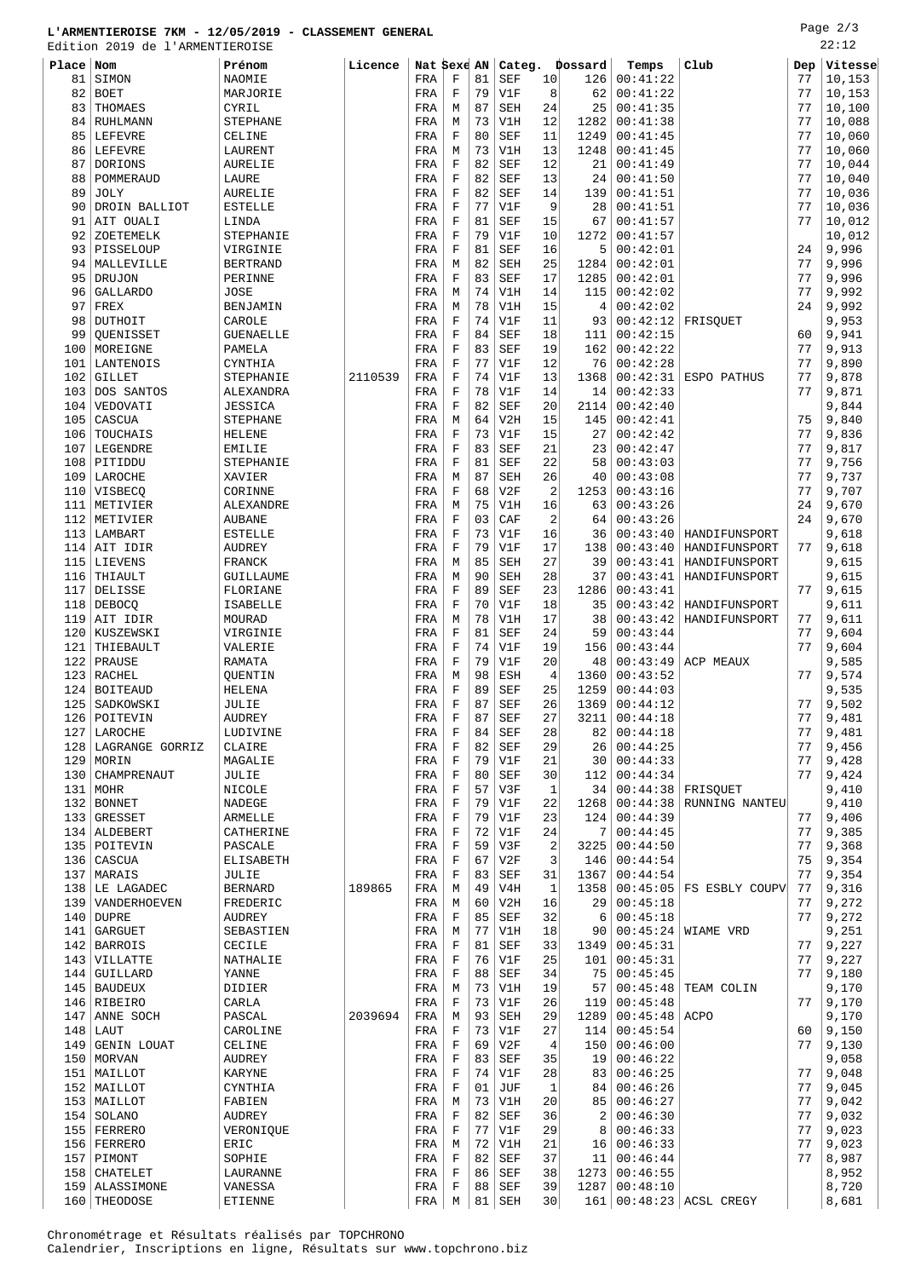## **L'ARMENTIEROISE 7KM - 12/05/2019 - CLASSEMENT GENERAL**

Edition 2019 de l'ARMENTIEROISE

Page 2/3 22:12

| Place | Nom              | Prénom           | Licence | Nat Sexe AN  |             |    | Categ.                        |                | Dossard | Temps           | Club           | Dep | Vitesse |
|-------|------------------|------------------|---------|--------------|-------------|----|-------------------------------|----------------|---------|-----------------|----------------|-----|---------|
| 81    | SIMON            | NAOMIE           |         | FRA          | $\mathbf F$ | 81 | <b>SEF</b>                    | 10             | 126     | 00:41:22        |                | 77  | 10,153  |
| 82    | <b>BOET</b>      | MARJORIE         |         | FRA          | $\mathbf F$ | 79 | V1F                           | 8              | 62      | 00:41:22        |                | 77  | 10,153  |
| 83    | THOMAES          | CYRIL            |         | FRA          | М           | 87 | <b>SEH</b>                    | 24             | 25      | 00:41:35        |                | 77  | 10,100  |
| 84    | <b>RUHLMANN</b>  | <b>STEPHANE</b>  |         | FRA          | M           | 73 | V1H                           | 12             | 1282    | 00:41:38        |                | 77  | 10,088  |
| 85    | <b>LEFEVRE</b>   | CELINE           |         | FRA          | $\mathbf F$ | 80 | <b>SEF</b>                    | 11             | 1249    | 00:41:45        |                | 77  | 10,060  |
| 86    | LEFEVRE          | LAURENT          |         | FRA          | M           | 73 | V1H                           | 13             | 1248    | 00:41:45        |                | 77  | 10,060  |
| 87    | DORIONS          | AURELIE          |         | FRA          | F           | 82 | <b>SEF</b>                    | 12             | 21      | 00:41:49        |                | 77  | 10,044  |
| 88    | POMMERAUD        | LAURE            |         | FRA          | $\mathbf F$ | 82 | <b>SEF</b>                    | 13             | 24      | 00:41:50        |                | 77  | 10,040  |
| 89    | JOLY             | <b>AURELIE</b>   |         | FRA          | $\mathbf F$ | 82 | <b>SEF</b>                    | 14             | 139     | 00:41:51        |                | 77  | 10,036  |
|       |                  |                  |         |              |             |    |                               |                |         |                 |                |     |         |
| 90    | DROIN BALLIOT    | <b>ESTELLE</b>   |         | FRA          | $\mathbf F$ | 77 | V1F                           | 9              | 28      | 00:41:51        |                | 77  | 10,036  |
| 91    | AIT OUALI        | LINDA            |         | FRA          | $\mathbf F$ | 81 | <b>SEF</b>                    | 15             | 67      | 00:41:57        |                | 77  | 10,012  |
| 92    | ZOETEMELK        | STEPHANIE        |         | FRA          | F           | 79 | V1F                           | 10             | 1272    | 00:41:57        |                |     | 10,012  |
| 93    | PISSELOUP        | VIRGINIE         |         | FRA          | $\mathbf F$ | 81 | <b>SEF</b>                    | 16             | 5       | 00:42:01        |                | 24  | 9,996   |
| 94    | MALLEVILLE       | <b>BERTRAND</b>  |         | FRA          | М           | 82 | <b>SEH</b>                    | 25             | 1284    | 00:42:01        |                | 77  | 9,996   |
| 95    | <b>DRUJON</b>    | PERINNE          |         | FRA          | $\mathbf F$ | 83 | <b>SEF</b>                    | 17             | 1285    | 00:42:01        |                | 77  | 9,996   |
| 96    | <b>GALLARDO</b>  | <b>JOSE</b>      |         | FRA          | М           | 74 | V1H                           | 14             | 115     | 00:42:02        |                | 77  | 9,992   |
| 97    | FREX             | BENJAMIN         |         | FRA          | М           | 78 | V1H                           | 15             | 4       | 00:42:02        |                | 24  | 9,992   |
| 98    | DUTHOIT          | CAROLE           |         | FRA          | $\mathbf F$ | 74 | V1F                           | 11             | 93      | 00:42:12        | FRISQUET       |     | 9,953   |
| 99    | QUENISSET        | <b>GUENAELLE</b> |         | FRA          | $\mathbf F$ | 84 | <b>SEF</b>                    | 18             | 111     | 00:42:15        |                | 60  | 9,941   |
| 100   | MOREIGNE         | PAMELA           |         | FRA          | $\mathbf F$ | 83 | <b>SEF</b>                    | 19             | 162     | 00:42:22        |                | 77  | 9,913   |
| 101   | <b>LANTENOIS</b> | CYNTHIA          |         | FRA          | $\mathbf F$ | 77 | V1F                           | 12             | 76      | 00:42:28        |                | 77  | 9,890   |
|       |                  |                  |         |              |             |    |                               |                |         |                 |                |     |         |
| 102   | <b>GILLET</b>    | STEPHANIE        | 2110539 | FRA          | $\mathbf F$ | 74 | V1F                           | 13             | 1368    | 00:42:31        | ESPO PATHUS    | 77  | 9,878   |
| 103   | DOS SANTOS       | ALEXANDRA        |         | FRA          | F           | 78 | V1F                           | 14             | 14      | 00:42:33        |                | 77  | 9,871   |
| 104   | VEDOVATI         | <b>JESSICA</b>   |         | FRA          | $\mathbf F$ | 82 | <b>SEF</b>                    | 20             | 2114    | 00:42:40        |                |     | 9,844   |
| 105   | CASCUA           | <b>STEPHANE</b>  |         | FRA          | М           | 64 | V2H                           | 15             | 145     | 00:42:41        |                | 75  | 9,840   |
| 106   | TOUCHAIS         | <b>HELENE</b>    |         | FRA          | $\mathbf F$ | 73 | V1F                           | 15             | 27      | 00:42:42        |                | 77  | 9,836   |
| 107   | LEGENDRE         | <b>EMILIE</b>    |         | FRA          | $\mathbf F$ | 83 | <b>SEF</b>                    | 21             | 23      | 00:42:47        |                | 77  | 9,817   |
| 108   | PITIDDU          | STEPHANIE        |         | FRA          | F           | 81 | <b>SEF</b>                    | 22             | 58      | 00:43:03        |                | 77  | 9,756   |
| 109   | LAROCHE          | XAVIER           |         | FRA          | М           | 87 | <b>SEH</b>                    | 26             | 40      | 00:43:08        |                | 77  | 9,737   |
| 110   | VISBECQ          | CORINNE          |         | FRA          | $\mathbf F$ | 68 | V2F                           | 2              | 1253    | 00:43:16        |                | 77  | 9,707   |
| 111   | METIVIER         | ALEXANDRE        |         | FRA          | M           | 75 | V1H                           | 16             | 63      | 00:43:26        |                | 24  | 9,670   |
|       |                  |                  |         |              |             | 03 |                               | 2              | 64      | 00:43:26        |                | 24  |         |
| 112   | METIVIER         | <b>AUBANE</b>    |         | FRA          | F           |    | CAF                           |                |         |                 |                |     | 9,670   |
| 113   | LAMBART          | <b>ESTELLE</b>   |         | FRA          | $\mathbf F$ | 73 | V1F                           | 16             | 36      | 00:43:40        | HANDIFUNSPORT  |     | 9,618   |
| 114   | AIT IDIR         | <b>AUDREY</b>    |         | FRA          | F           | 79 | V1F                           | 17             | 138     | 00:43:40        | HANDIFUNSPORT  | 77  | 9,618   |
| 115   | LIEVENS          | FRANCK           |         | FRA          | M           | 85 | <b>SEH</b>                    | 27             | 39      | 00:43:41        | HANDIFUNSPORT  |     | 9,615   |
| 116   | THIAULT          | GUILLAUME        |         | FRA          | М           | 90 | <b>SEH</b>                    | 28             | 37      | 00:43:41        | HANDIFUNSPORT  |     | 9,615   |
| 117   | DELISSE          | FLORIANE         |         | FRA          | $\mathbf F$ | 89 | <b>SEF</b>                    | 23             | 1286    | 00:43:41        |                | 77  | 9,615   |
| 118   | <b>DEBOCO</b>    | <b>ISABELLE</b>  |         | FRA          | $\mathbf F$ | 70 | V1F                           | 18             | 35      | 00:43:42        | HANDIFUNSPORT  |     | 9,611   |
| 119   | AIT IDIR         | MOURAD           |         | FRA          | М           | 78 | V1H                           | 17             | 38      | 00:43:42        | HANDIFUNSPORT  | 77  | 9,611   |
| 120   | KUSZEWSKI        | VIRGINIE         |         | FRA          | $\mathbf F$ | 81 | <b>SEF</b>                    | 24             | 59      | 00:43:44        |                | 77  | 9,604   |
| 121   | THIEBAULT        | VALERIE          |         | FRA          | F           | 74 | V1F                           | 19             | 156     | 00:43:44        |                | 77  | 9,604   |
| 122   | PRAUSE           | RAMATA           |         | FRA          | $\mathbf F$ | 79 | V1F                           | 20             | 48      | 00:43:49        | ACP MEAUX      |     | 9,585   |
| 123   | RACHEL           | QUENTIN          |         | FRA          | М           | 98 | <b>ESH</b>                    | $\overline{4}$ | 1360    | 00:43:52        |                | 77  | 9,574   |
|       |                  |                  |         |              |             | 89 |                               |                |         |                 |                |     |         |
| 124   | <b>BOITEAUD</b>  | <b>HELENA</b>    |         | FRA          | F           |    | <b>SEF</b>                    | 25             | 1259    | 00:44:03        |                |     | 9,535   |
| 125   | SADKOWSKI        | JULIE            |         | FRA          | $\mathbf F$ | 87 | <b>SEF</b>                    | 26             | 1369    | 00:44:12        |                | 77  | 9,502   |
| 126   | POITEVIN         | <b>AUDREY</b>    |         | FRA          | $\mathbf F$ | 87 | <b>SEF</b>                    | 27             |         | 3211   00:44:18 |                | 77  | 9,481   |
|       | 127 LAROCHE      | LUDIVINE         |         | $_{\rm FRA}$ | $\mathbf F$ | 84 | $\operatorname{\mathsf{SEF}}$ | 28             |         | 82 00:44:18     |                | 77  | 9,481   |
| 128   | LAGRANGE GORRIZ  | CLAIRE           |         | FRA          | F           | 82 | SEF                           | 29             | 26      | 00:44:25        |                | 77  | 9,456   |
|       | 129 MORIN        | MAGALIE          |         | FRA          | F           | 79 | V1F                           | 21             | 30      | 00:44:33        |                | 77  | 9,428   |
| 130   | CHAMPRENAUT      | JULIE            |         | FRA          | F           | 80 | SEF                           | 30             | 112     | 00:44:34        |                | 77  | 9,424   |
|       | 131   MOHR       | NICOLE           |         | FRA          | F           | 57 | V3F                           | 1              | 34      | 00:44:38        | FRISQUET       |     | 9,410   |
|       | 132 BONNET       | NADEGE           |         | FRA          | F           | 79 | V1F                           | 22             | 1268    | 00:44:38        | RUNNING NANTEU |     | 9,410   |
|       | 133 GRESSET      | ARMELLE          |         | FRA          | F           | 79 | V1F                           | 23             | 124     | 00:44:39        |                | 77  | 9,406   |
|       | 134 ALDEBERT     | CATHERINE        |         | FRA          | F           | 72 | V1F                           | 24             | 7       | 00:44:45        |                | 77  | 9,385   |
| 135   | POITEVIN         | PASCALE          |         | FRA          | F           | 59 | V3F                           | 2              | 3225    | 00:44:50        |                | 77  | 9,368   |
|       | 136 CASCUA       | <b>ELISABETH</b> |         | FRA          | $\mathbf F$ | 67 | V2F                           | 3              | 146     | 00:44:54        |                | 75  | 9,354   |
| 137   | MARAIS           | JULIE            |         | FRA          | F           | 83 | SEF                           | 31             | 1367    | 00:44:54        |                | 77  | 9,354   |
|       | 138 LE LAGADEC   | <b>BERNARD</b>   | 189865  | FRA          | М           | 49 | V4H                           | $\mathbf{1}$   | 1358    | 00:45:05        | FS ESBLY COUPV | 77  |         |
|       |                  |                  |         |              |             |    |                               |                |         |                 |                |     | 9,316   |
| 139   | VANDERHOEVEN     | FREDERIC         |         | FRA          | М           | 60 | V2H                           | 16             | 29      | 00:45:18        |                | 77  | 9,272   |
|       | $140$ DUPRE      | AUDREY           |         | FRA          | F           | 85 | SEF                           | 32             | 6       | 00:45:18        |                | 77  | 9,272   |
|       | 141 GARGUET      | SEBASTIEN        |         | FRA          | М           | 77 | V1H                           | 18             | 90      | 00:45:24        | WIAME VRD      |     | 9,251   |
|       | 142 BARROIS      | CECILE           |         | FRA          | F           | 81 | <b>SEF</b>                    | 33             | 1349    | 00:45:31        |                | 77  | 9,227   |
|       | 143 VILLATTE     | NATHALIE         |         | FRA          | $\mathbf F$ | 76 | V1F                           | 25             | 101     | 00:45:31        |                | 77  | 9,227   |
|       | 144 GUILLARD     | YANNE            |         | FRA          | F           | 88 | SEF                           | 34             | 75      | 00:45:45        |                | 77  | 9,180   |
|       | 145   BAUDEUX    | DIDIER           |         | FRA          | М           | 73 | V1H                           | 19             | 57      | 00:45:48        | TEAM COLIN     |     | 9,170   |
|       | 146 RIBEIRO      | CARLA            |         | FRA          | F           | 73 | V1F                           | 26             | 119     | 00:45:48        |                | 77  | 9,170   |
| 147   | ANNE SOCH        | PASCAL           | 2039694 | FRA          | М           | 93 | <b>SEH</b>                    | 29             | 1289    | 00:45:48        | <b>ACPO</b>    |     | 9,170   |
|       | $148$ LAUT       | CAROLINE         |         | FRA          | $\mathbf F$ | 73 | V1F                           | 27             | 114     | 00:45:54        |                | 60  | 9,150   |
|       | 149 GENIN LOUAT  | CELINE           |         | FRA          | F           | 69 | V2F                           | 4              | 150     | 00:46:00        |                | 77  | 9,130   |
|       | 150   MORVAN     | <b>AUDREY</b>    |         | FRA          | $\mathbf F$ | 83 | <b>SEF</b>                    | 35             | 19      | 00:46:22        |                |     | 9,058   |
|       |                  |                  |         |              |             |    |                               |                |         |                 |                |     |         |
|       | 151   MAILLOT    | <b>KARYNE</b>    |         | FRA          | F           | 74 | V1F                           | 28             | 83      | 00:46:25        |                | 77  | 9,048   |
|       | 152 MAILLOT      | CYNTHIA          |         | FRA          | $\mathbf F$ | 01 | JUF                           | 1              | 84      | 00:46:26        |                | 77  | 9,045   |
|       | 153   MAILLOT    | FABIEN           |         | FRA          | М           | 73 | V1H                           | 20             | 85      | 00:46:27        |                | 77  | 9,042   |
|       | 154   SOLANO     | AUDREY           |         | FRA          | F           | 82 | SEF                           | 36             | 2       | 00:46:30        |                | 77  | 9,032   |
|       | 155   FERRERO    | VERONIQUE        |         | FRA          | F           | 77 | V1F                           | 29             | 8       | 00:46:33        |                | 77  | 9,023   |
|       | 156   FERRERO    | ERIC             |         | FRA          | М           | 72 | V1H                           | 21             | 16      | 00:46:33        |                | 77  | 9,023   |
|       | 157   PIMONT     | SOPHIE           |         | FRA          | $\mathbf F$ | 82 | SEF                           | 37             | 11      | 00:46:44        |                | 77  | 8,987   |
| 158   | CHATELET         | LAURANNE         |         | FRA          | F           | 86 | SEF                           | 38             | 1273    | 00:46:55        |                |     | 8,952   |
|       | 159   ALASSIMONE | VANESSA          |         | FRA          | $\mathbf F$ |    | 88   SEF                      | 39             | 1287    | 00:48:10        |                |     | 8,720   |

THEODOSE ETIENNE FRA M 81 SEH 30 161 00:48:23 ACSL CREGY 8,681